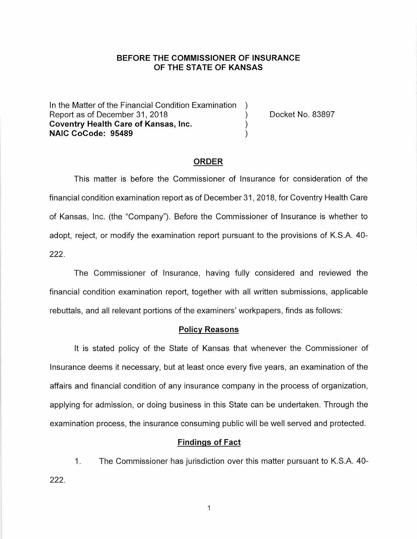## **BEFORE THE COMMISSIONER OF INSURANCE OF THE STATE OF KANSAS**

In the Matter of the Financial Condition Examination ) Report as of December 31, 2018 (a) The Section of Docket No. 83897 **Coventry Health Care of Kansas, Inc.** ) **NAIC CoCode: 95489** )

#### **ORDER**

This matter is before the Commissioner of Insurance for consideration of the financial condition examination report as of December 31, 2018, for Coventry Health Care of Kansas, Inc. (the "Company"). Before the Commissioner of Insurance is whether to adopt, reject, or modify the examination report pursuant to the provisions of K.S.A. 40- 222.

The Commissioner of Insurance, having fully considered and reviewed the financial condition examination report, together with all written submissions, applicable rebuttals, and all relevant portions of the examiners' workpapers, finds as follows:

#### **Policy Reasons**

It is stated policy of the State of Kansas that whenever the Commissioner of Insurance deems it necessary, but at least once every five years, an examination of the affairs and financial condition of any insurance company in the process of organization, applying for admission, or doing business in this State can be undertaken. Through the examination process, the insurance consuming public will be well served and protected.

#### **Findings of Fact**

1. The Commissioner has jurisdiction over this matter pursuant to K.S.A. 40- 222.

1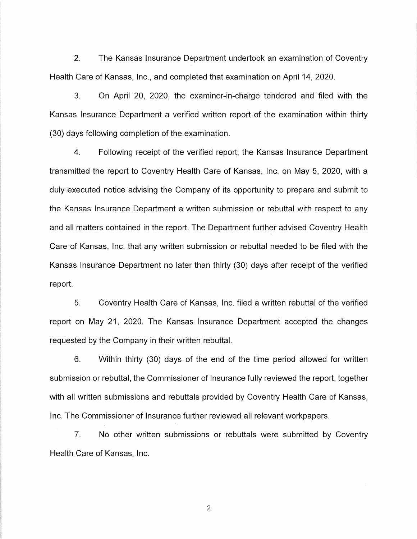2. The Kansas Insurance Department undertook an examination of Coventry Health Care of Kansas, Inc., and completed that examination on April 14, 2020.

3. On April 20, 2020, the examiner-in-charge tendered and filed with the Kansas Insurance Department a verified written report of the examination within thirty (30) days following completion of the examination.

4. Following receipt of the verified report, the Kansas Insurance Department transmitted the report to Coventry Health Care of Kansas, Inc. on May 5, 2020, with a duly executed notice advising the Company of its opportunity to prepare and submit to the Kansas Insurance Department a written submission or rebuttal with respect to any and all matters contained in the report. The Department further advised Coventry Health Care of Kansas, Inc. that any written submission or rebuttal needed to be filed with the Kansas Insurance Department no later than thirty (30) days after receipt of the verified report.

5. Coventry Health Care of Kansas, Inc. filed a written rebuttal of the verified report on May 21, 2020. The Kansas Insurance Department accepted the changes requested by the Company in their written rebuttal.

6. Within thirty (30) days of the end of the time period allowed for written submission or rebuttal, the Commissioner of Insurance fully reviewed the report, together with all written submissions and rebuttals provided by Coventry Health Care of Kansas, Inc. The Commissioner of Insurance further reviewed all relevant workpapers.

7. No other written submissions or rebuttals were submitted by Coventry Health Care of Kansas, Inc.

2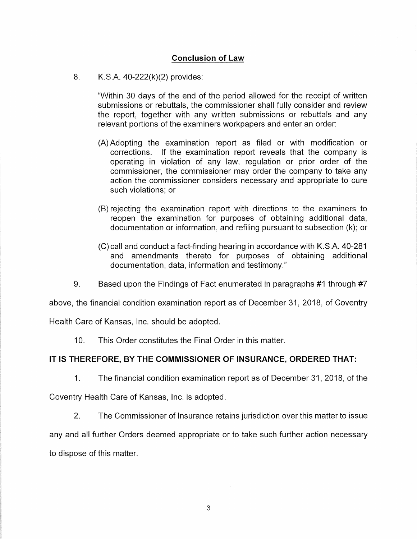## **Conclusion of Law**

8. K.S.A. 40-222(k)(2) provides:

"Within 30 days of the end of the period allowed for the receipt of written submissions or rebuttals, the commissioner shall fully consider and review the report, together with any written submissions or rebuttals and any relevant portions of the examiners workpapers and enter an order:

- (A) Adopting the examination report as filed or with modification or corrections. If the examination report reveals that the company is operating in violation of any law, regulation or prior order of the commissioner, the commissioner may order the company to take any action the commissioner considers necessary and appropriate to cure such violations; or
- (B) rejecting the examination report with directions to the examiners to reopen the examination for purposes of obtaining additional data, documentation or information, and refiling pursuant to subsection (k); or
- (C) call and conduct a fact-finding hearing in accordance with K.S.A. 40-281 and amendments thereto for purposes of obtaining additional documentation, data, information and testimony."
- 9. Based upon the Findings of Fact enumerated in paragraphs #1 through #7

above, the financial condition examination report as of December 31, 2018, of Coventry

Health Care of Kansas, Inc. should be adopted.

10. This Order constitutes the Final Order in this matter.

## **IT IS THEREFORE, BY THE COMMISSIONER OF INSURANCE, ORDERED THAT:**

1. The financial condition examination report as of December 31, 2018, of the

Coventry Health Care of Kansas, Inc. is adopted.

2. The Commissioner of Insurance retains jurisdiction over this matter to issue

any and all further Orders deemed appropriate or to take such further action necessary to dispose of this matter.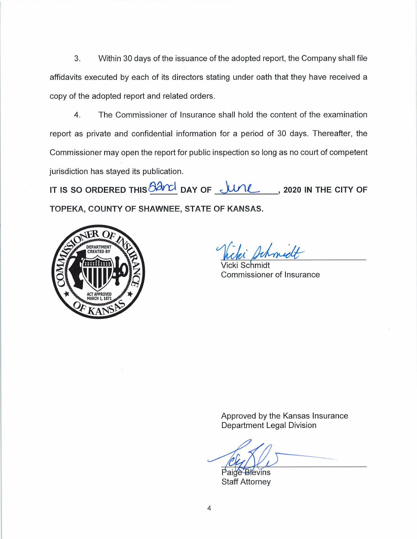3. Within 30 days of the issuance of the adopted report, the Company shall file affidavits executed by each of its directors stating under oath that they have received a copy of the adopted report and related orders.

4. The Commissioner of Insurance shall hold the content of the examination report as private and confidential information for a period of 30 days. Thereafter, the Commissioner may open the report for public inspection so long as no court of competent jurisdiction has stayed its publication.

IT IS SO ORDERED THIS  $\frac{\partial \partial n}{\partial t}$  DAY OF  $\frac{\partial n}{\partial t}$ , 2020 IN THE CITY OF **TOPEKA, COUNTY OF SHAWNEE, STATE OF KANSAS.** 



i Achmedt

cki Schmidt Commissioner of Insurance

Approved by the Kansas Insurance Department Legal Division

Expressed by the Ransas Instituted<br>Department Legal Division